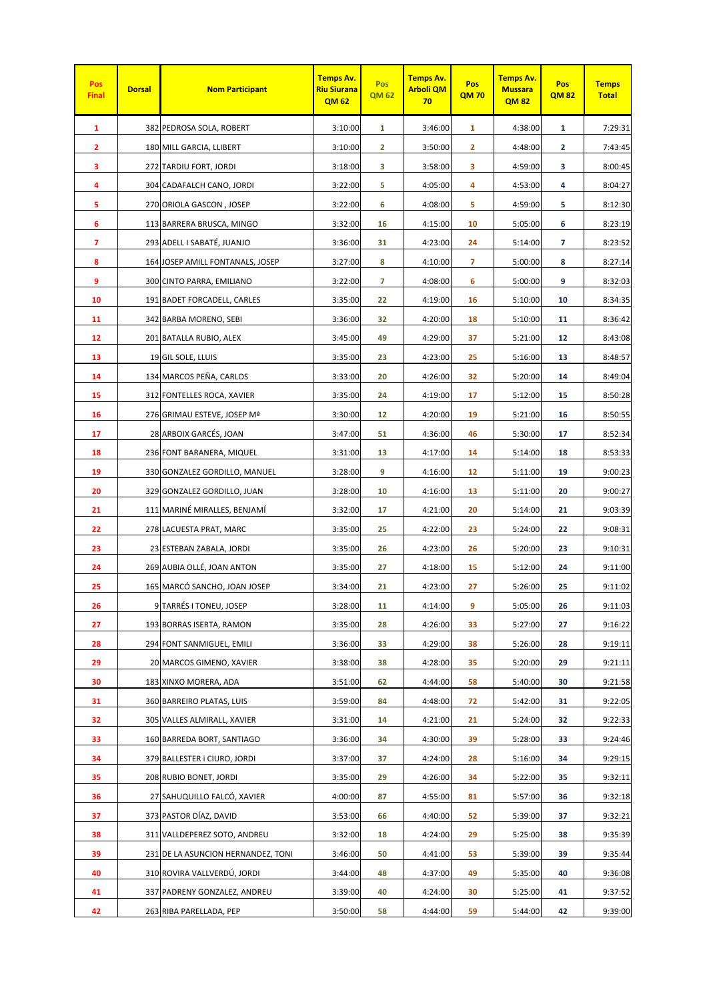| Pos<br><b>Final</b> | <b>Dorsal</b> | <b>Nom Participant</b>             | <b>Temps Av.</b><br><b>Riu Siurana</b><br><b>QM62</b> | Pos<br><b>QM 62</b> | Temps Av.<br><b>Arboli QM</b><br>70 | Pos<br><b>QM70</b> | <b>Temps Av.</b><br><b>Mussara</b><br><b>QM82</b> | Pos<br><b>QM82</b> | <b>Temps</b><br><b>Total</b> |
|---------------------|---------------|------------------------------------|-------------------------------------------------------|---------------------|-------------------------------------|--------------------|---------------------------------------------------|--------------------|------------------------------|
| 1                   |               | 382 PEDROSA SOLA, ROBERT           | 3:10:00                                               | $\mathbf{1}$        | 3:46:00                             | $\mathbf{1}$       | 4:38:00                                           | $\mathbf{1}$       | 7:29:31                      |
| $\mathbf{2}$        |               | 180 MILL GARCIA, LLIBERT           | 3:10:00                                               | 2                   | 3:50:00                             | $\mathbf{2}$       | 4:48:00                                           | 2                  | 7:43:45                      |
| 3                   |               | 272 TARDIU FORT, JORDI             | 3:18:00                                               | 3                   | 3:58:00                             | 3                  | 4:59:00                                           | 3                  | 8:00:45                      |
| 4                   |               | 304 CADAFALCH CANO, JORDI          | 3:22:00                                               | 5                   | 4:05:00                             | 4                  | 4:53:00                                           | 4                  | 8:04:27                      |
| 5                   |               | 270 ORIOLA GASCON, JOSEP           | 3:22:00                                               | 6                   | 4:08:00                             | 5                  | 4:59:00                                           | 5                  | 8:12:30                      |
| 6                   |               | 113 BARRERA BRUSCA, MINGO          | 3:32:00                                               | 16                  | 4:15:00                             | 10                 | 5:05:00                                           | 6                  | 8:23:19                      |
| 7                   |               | 293 ADELL I SABATÉ, JUANJO         | 3:36:00                                               | 31                  | 4:23:00                             | 24                 | 5:14:00                                           | 7                  | 8:23:52                      |
| 8                   |               | 164 JOSEP AMILL FONTANALS, JOSEP   | 3:27:00                                               | 8                   | 4:10:00                             | 7                  | 5:00:00                                           | 8                  | 8:27:14                      |
| 9                   |               | 300 CINTO PARRA, EMILIANO          | 3:22:00                                               | $\overline{7}$      | 4:08:00                             | 6                  | 5:00:00                                           | 9                  | 8:32:03                      |
| 10                  |               | 191 BADET FORCADELL, CARLES        | 3:35:00                                               | 22                  | 4:19:00                             | 16                 | 5:10:00                                           | 10                 | 8:34:35                      |
| 11                  |               | 342 BARBA MORENO, SEBI             | 3:36:00                                               | 32                  | 4:20:00                             | 18                 | 5:10:00                                           | 11                 | 8:36:42                      |
| 12                  |               | 201 BATALLA RUBIO, ALEX            | 3:45:00                                               | 49                  | 4:29:00                             | 37                 | 5:21:00                                           | 12                 | 8:43:08                      |
| 13                  |               | 19 GIL SOLE, LLUIS                 | 3:35:00                                               | 23                  | 4:23:00                             | 25                 | 5:16:00                                           | 13                 | 8:48:57                      |
| 14                  |               | 134 MARCOS PEÑA, CARLOS            | 3:33:00                                               | 20                  | 4:26:00                             | 32                 | 5:20:00                                           | 14                 | 8:49:04                      |
| 15                  |               | 312 FONTELLES ROCA, XAVIER         | 3:35:00                                               | 24                  | 4:19:00                             | 17                 | 5:12:00                                           | 15                 | 8:50:28                      |
| 16                  |               | 276 GRIMAU ESTEVE, JOSEP Mª        | 3:30:00                                               | 12                  | 4:20:00                             | 19                 | 5:21:00                                           | 16                 | 8:50:55                      |
| 17                  |               | 28 ARBOIX GARCÉS, JOAN             | 3:47:00                                               | 51                  | 4:36:00                             | 46                 | 5:30:00                                           | 17                 | 8:52:34                      |
| 18                  |               | 236 FONT BARANERA, MIQUEL          | 3:31:00                                               | 13                  | 4:17:00                             | 14                 | 5:14:00                                           | 18                 | 8:53:33                      |
| 19                  |               | 330 GONZALEZ GORDILLO, MANUEL      | 3:28:00                                               | 9                   | 4:16:00                             | 12                 | 5:11:00                                           | 19                 | 9:00:23                      |
| 20                  |               | 329 GONZALEZ GORDILLO, JUAN        | 3:28:00                                               | 10                  | 4:16:00                             | 13                 | 5:11:00                                           | 20                 | 9:00:27                      |
| 21                  |               | 111 MARINÉ MIRALLES, BENJAMÍ       | 3:32:00                                               | 17                  | 4:21:00                             | 20                 | 5:14:00                                           | 21                 | 9:03:39                      |
| 22                  |               | 278 LACUESTA PRAT, MARC            | 3:35:00                                               | 25                  | 4:22:00                             | 23                 | 5:24:00                                           | 22                 | 9:08:31                      |
| 23                  |               | 23 ESTEBAN ZABALA, JORDI           | 3:35:00                                               | 26                  | 4:23:00                             | 26                 | 5:20:00                                           | 23                 | 9:10:31                      |
| 24                  |               | 269 AUBIA OLLÉ, JOAN ANTON         | 3:35:00                                               | 27                  | 4:18:00                             | 15                 | 5:12:00                                           | 24                 | 9:11:00                      |
| 25                  |               | 165 MARCÓ SANCHO, JOAN JOSEP       | 3:34:00                                               | 21                  | 4:23:00                             | 27                 | 5:26:00                                           | 25                 | 9:11:02                      |
| 26                  |               | 9 TARRÉS I TONEU, JOSEP            | 3:28:00                                               | 11                  | 4:14:00                             | 9                  | 5:05:00                                           | 26                 | 9:11:03                      |
| 27                  |               | 193 BORRAS ISERTA, RAMON           | 3:35:00                                               | 28                  | 4:26:00                             | 33                 | 5:27:00                                           | 27                 | 9:16:22                      |
| 28                  |               | 294 FONT SANMIGUEL, EMILI          | 3:36:00                                               | 33                  | 4:29:00                             | 38                 | 5:26:00                                           | 28                 | 9:19:11                      |
| 29                  |               | 20 MARCOS GIMENO, XAVIER           | 3:38:00                                               | 38                  | 4:28:00                             | 35                 | 5:20:00                                           | 29                 | 9:21:11                      |
| 30                  |               | 183 XINXO MORERA, ADA              | 3:51:00                                               | 62                  | 4:44:00                             | 58                 | 5:40:00                                           | 30                 | 9:21:58                      |
| 31                  |               | 360 BARREIRO PLATAS, LUIS          | 3:59:00                                               | 84                  | 4:48:00                             | 72                 | 5:42:00                                           | 31                 | 9:22:05                      |
| 32                  |               | 305 VALLES ALMIRALL, XAVIER        | 3:31:00                                               | 14                  | 4:21:00                             | 21                 | 5:24:00                                           | 32                 | 9:22:33                      |
| 33                  |               | 160 BARREDA BORT, SANTIAGO         | 3:36:00                                               | 34                  | 4:30:00                             | 39                 | 5:28:00                                           | 33                 | 9:24:46                      |
| 34                  |               | 379 BALLESTER i CIURO, JORDI       | 3:37:00                                               | 37                  | 4:24:00                             | 28                 | 5:16:00                                           | 34                 | 9:29:15                      |
| 35                  |               | 208 RUBIO BONET, JORDI             | 3:35:00                                               | 29                  | 4:26:00                             | 34                 | 5:22:00                                           | 35                 | 9:32:11                      |
| 36                  |               | 27 SAHUQUILLO FALCÓ, XAVIER        | 4:00:00                                               | 87                  | 4:55:00                             | 81                 | 5:57:00                                           | 36                 | 9:32:18                      |
| 37                  |               | 373 PASTOR DÍAZ, DAVID             | 3:53:00                                               | 66                  | 4:40:00                             | 52                 | 5:39:00                                           | 37                 | 9:32:21                      |
| 38                  |               | 311 VALLDEPEREZ SOTO, ANDREU       | 3:32:00                                               | 18                  | 4:24:00                             | 29                 | 5:25:00                                           | 38                 | 9:35:39                      |
| 39                  |               | 231 DE LA ASUNCION HERNANDEZ, TONI | 3:46:00                                               | 50                  | 4:41:00                             | 53                 | 5:39:00                                           | 39                 | 9:35:44                      |
| 40                  |               | 310 ROVIRA VALLVERDÚ, JORDI        | 3:44:00                                               | 48                  | 4:37:00                             | 49                 | 5:35:00                                           | 40                 | 9:36:08                      |
| 41                  |               | 337 PADRENY GONZALEZ, ANDREU       | 3:39:00                                               | 40                  | 4:24:00                             | 30                 | 5:25:00                                           | 41                 | 9:37:52                      |
| 42                  |               | 263 RIBA PARELLADA, PEP            | 3:50:00                                               | 58                  | 4:44:00                             | 59                 | 5:44:00                                           | 42                 | 9:39:00                      |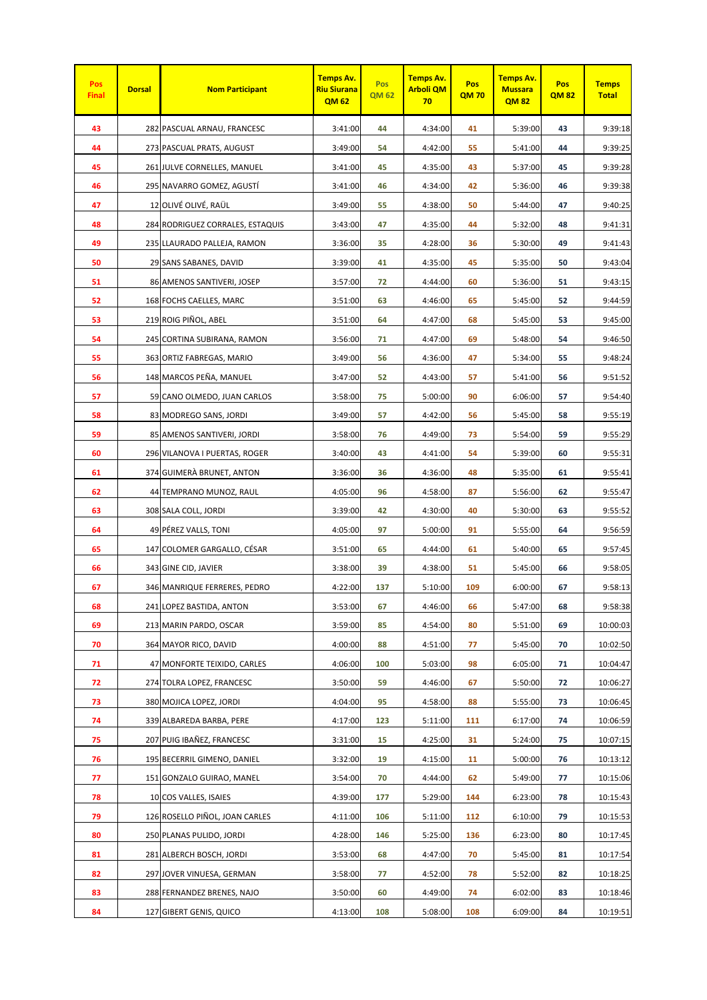| Pos<br><b>Final</b> | <b>Dorsal</b> | <b>Nom Participant</b>           | <b>Temps Av.</b><br><b>Riu Siurana</b><br><b>QM62</b> | Pos<br><b>QM 62</b> | <b>Temps Av.</b><br><b>Arboli QM</b><br>70 | Pos<br><b>QM70</b> | <b>Temps Av.</b><br><b>Mussara</b><br><b>QM82</b> | Pos<br><b>QM82</b> | <b>Temps</b><br><b>Total</b> |
|---------------------|---------------|----------------------------------|-------------------------------------------------------|---------------------|--------------------------------------------|--------------------|---------------------------------------------------|--------------------|------------------------------|
| 43                  |               | 282 PASCUAL ARNAU, FRANCESC      | 3:41:00                                               | 44                  | 4:34:00                                    | 41                 | 5:39:00                                           | 43                 | 9:39:18                      |
| 44                  |               | 273 PASCUAL PRATS, AUGUST        | 3:49:00                                               | 54                  | 4:42:00                                    | 55                 | 5:41:00                                           | 44                 | 9:39:25                      |
| 45                  |               | 261 JULVE CORNELLES, MANUEL      | 3:41:00                                               | 45                  | 4:35:00                                    | 43                 | 5:37:00                                           | 45                 | 9:39:28                      |
| 46                  |               | 295 NAVARRO GOMEZ, AGUSTI        | 3:41:00                                               | 46                  | 4:34:00                                    | 42                 | 5:36:00                                           | 46                 | 9:39:38                      |
| 47                  |               | 12 OLIVÉ OLIVÉ, RAÜL             | 3:49:00                                               | 55                  | 4:38:00                                    | 50                 | 5:44:00                                           | 47                 | 9:40:25                      |
| 48                  |               | 284 RODRIGUEZ CORRALES, ESTAQUIS | 3:43:00                                               | 47                  | 4:35:00                                    | 44                 | 5:32:00                                           | 48                 | 9:41:31                      |
| 49                  |               | 235 LLAURADO PALLEJA, RAMON      | 3:36:00                                               | 35                  | 4:28:00                                    | 36                 | 5:30:00                                           | 49                 | 9:41:43                      |
| 50                  |               | 29 SANS SABANES, DAVID           | 3:39:00                                               | 41                  | 4:35:00                                    | 45                 | 5:35:00                                           | 50                 | 9:43:04                      |
| 51                  |               | 86 AMENOS SANTIVERI, JOSEP       | 3:57:00                                               | 72                  | 4:44:00                                    | 60                 | 5:36:00                                           | 51                 | 9:43:15                      |
| 52                  |               | 168 FOCHS CAELLES, MARC          | 3:51:00                                               | 63                  | 4:46:00                                    | 65                 | 5:45:00                                           | 52                 | 9:44:59                      |
| 53                  |               | 219 ROIG PIÑOL, ABEL             | 3:51:00                                               | 64                  | 4:47:00                                    | 68                 | 5:45:00                                           | 53                 | 9:45:00                      |
| 54                  |               | 245 CORTINA SUBIRANA, RAMON      | 3:56:00                                               | 71                  | 4:47:00                                    | 69                 | 5:48:00                                           | 54                 | 9:46:50                      |
| 55                  |               | 363 ORTIZ FABREGAS, MARIO        | 3:49:00                                               | 56                  | 4:36:00                                    | 47                 | 5:34:00                                           | 55                 | 9:48:24                      |
| 56                  |               | 148 MARCOS PEÑA, MANUEL          | 3:47:00                                               | 52                  | 4:43:00                                    | 57                 | 5:41:00                                           | 56                 | 9:51:52                      |
| 57                  |               | 59 CANO OLMEDO, JUAN CARLOS      | 3:58:00                                               | 75                  | 5:00:00                                    | 90                 | 6:06:00                                           | 57                 | 9:54:40                      |
| 58                  |               | 83 MODREGO SANS, JORDI           | 3:49:00                                               | 57                  | 4:42:00                                    | 56                 | 5:45:00                                           | 58                 | 9:55:19                      |
| 59                  |               | 85 AMENOS SANTIVERI, JORDI       | 3:58:00                                               | 76                  | 4:49:00                                    | 73                 | 5:54:00                                           | 59                 | 9:55:29                      |
| 60                  |               | 296 VILANOVA I PUERTAS, ROGER    | 3:40:00                                               | 43                  | 4:41:00                                    | 54                 | 5:39:00                                           | 60                 | 9:55:31                      |
| 61                  |               | 374 GUIMERÀ BRUNET, ANTON        | 3:36:00                                               | 36                  | 4:36:00                                    | 48                 | 5:35:00                                           | 61                 | 9:55:41                      |
| 62                  |               | 44 TEMPRANO MUNOZ, RAUL          | 4:05:00                                               | 96                  | 4:58:00                                    | 87                 | 5:56:00                                           | 62                 | 9:55:47                      |
| 63                  |               | 308 SALA COLL, JORDI             | 3:39:00                                               | 42                  | 4:30:00                                    | 40                 | 5:30:00                                           | 63                 | 9:55:52                      |
| 64                  |               | 49 PÉREZ VALLS, TONI             | 4:05:00                                               | 97                  | 5:00:00                                    | 91                 | 5:55:00                                           | 64                 | 9:56:59                      |
| 65                  |               | 147 COLOMER GARGALLO, CÉSAR      | 3:51:00                                               | 65                  | 4:44:00                                    | 61                 | 5:40:00                                           | 65                 | 9:57:45                      |
| 66                  |               | 343 GINE CID, JAVIER             | 3:38:00                                               | 39                  | 4:38:00                                    | 51                 | 5:45:00                                           | 66                 | 9:58:05                      |
| 67                  |               | 346 MANRIQUE FERRERES, PEDRO     | 4:22:00                                               | 137                 | 5:10:00                                    | 109                | 6:00:00                                           | 67                 | 9:58:13                      |
| 68                  |               | 241 LOPEZ BASTIDA, ANTON         | 3:53:00                                               | 67                  | 4:46:00                                    | 66                 | 5:47:00                                           | 68                 | 9:58:38                      |
| 69                  |               | 213 MARIN PARDO, OSCAR           | 3:59:00                                               | 85                  | 4:54:00                                    | 80                 | 5:51:00                                           | 69                 | 10:00:03                     |
| 70                  |               | 364 MAYOR RICO, DAVID            | 4:00:00                                               | 88                  | 4:51:00                                    | 77                 | 5:45:00                                           | 70                 | 10:02:50                     |
| 71                  |               | 47 MONFORTE TEIXIDO, CARLES      | 4:06:00                                               | 100                 | 5:03:00                                    | 98                 | 6:05:00                                           | 71                 | 10:04:47                     |
| 72                  |               | 274 TOLRA LOPEZ, FRANCESC        | 3:50:00                                               | 59                  | 4:46:00                                    | 67                 | 5:50:00                                           | 72                 | 10:06:27                     |
| 73                  |               | 380 MOJICA LOPEZ, JORDI          | 4:04:00                                               | 95                  | 4:58:00                                    | 88                 | 5:55:00                                           | 73                 | 10:06:45                     |
| 74                  |               | 339 ALBAREDA BARBA, PERE         | 4:17:00                                               | 123                 | 5:11:00                                    | 111                | 6:17:00                                           | 74                 | 10:06:59                     |
| 75                  |               | 207 PUIG IBAÑEZ, FRANCESC        | 3:31:00                                               | 15                  | 4:25:00                                    | 31                 | 5:24:00                                           | 75                 | 10:07:15                     |
| 76                  |               | 195 BECERRIL GIMENO, DANIEL      | 3:32:00                                               | 19                  | 4:15:00                                    | 11                 | 5:00:00                                           | 76                 | 10:13:12                     |
| 77                  |               | 151 GONZALO GUIRAO, MANEL        | 3:54:00                                               | 70                  | 4:44:00                                    | 62                 | 5:49:00                                           | 77                 | 10:15:06                     |
| 78                  |               | 10 COS VALLES, ISAIES            | 4:39:00                                               | 177                 | 5:29:00                                    | 144                | 6:23:00                                           | 78                 | 10:15:43                     |
| 79                  |               | 126 ROSELLO PIÑOL, JOAN CARLES   | 4:11:00                                               | 106                 | 5:11:00                                    | 112                | 6:10:00                                           | 79                 | 10:15:53                     |
| 80                  |               | 250 PLANAS PULIDO, JORDI         | 4:28:00                                               | 146                 | 5:25:00                                    | 136                | 6:23:00                                           | 80                 | 10:17:45                     |
| 81                  |               | 281 ALBERCH BOSCH, JORDI         | 3:53:00                                               | 68                  | 4:47:00                                    | 70                 | 5:45:00                                           | 81                 | 10:17:54                     |
| 82                  |               | 297 JOVER VINUESA, GERMAN        | 3:58:00                                               | 77                  | 4:52:00                                    | 78                 | 5:52:00                                           | 82                 | 10:18:25                     |
| 83                  |               | 288 FERNANDEZ BRENES, NAJO       | 3:50:00                                               | 60                  | 4:49:00                                    | 74                 | 6:02:00                                           | 83                 | 10:18:46                     |
| 84                  |               | 127 GIBERT GENIS, QUICO          | 4:13:00                                               | 108                 | 5:08:00                                    | 108                | 6:09:00                                           | 84                 | 10:19:51                     |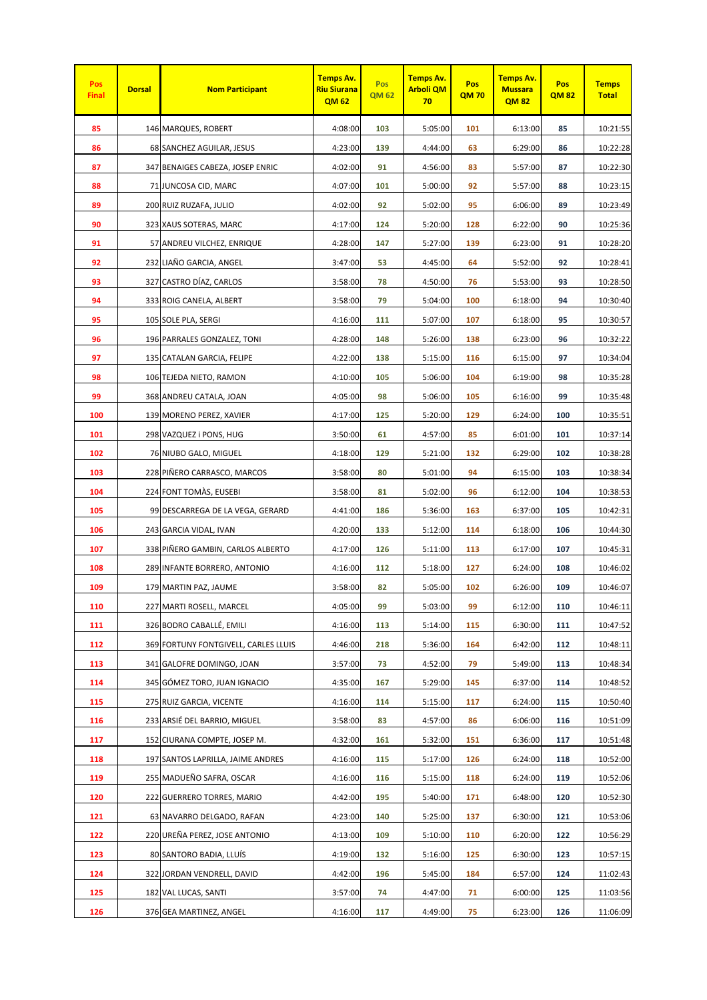| Pos<br><b>Final</b> | <b>Dorsal</b> | <b>Nom Participant</b>               | <b>Temps Av.</b><br><b>Riu Siurana</b><br><b>QM62</b> | <b>Pos</b><br><b>QM 62</b> | <b>Temps Av.</b><br><b>Arboli QM</b><br>70 | Pos<br><b>QM70</b> | <b>Temps Av.</b><br><b>Mussara</b><br><b>QM82</b> | Pos<br><b>QM82</b> | <b>Temps</b><br><b>Total</b> |
|---------------------|---------------|--------------------------------------|-------------------------------------------------------|----------------------------|--------------------------------------------|--------------------|---------------------------------------------------|--------------------|------------------------------|
| 85                  |               | 146 MARQUES, ROBERT                  | 4:08:00                                               | 103                        | 5:05:00                                    | 101                | 6:13:00                                           | 85                 | 10:21:55                     |
| 86                  |               | 68 SANCHEZ AGUILAR, JESUS            | 4:23:00                                               | 139                        | 4:44:00                                    | 63                 | 6:29:00                                           | 86                 | 10:22:28                     |
| 87                  |               | 347 BENAIGES CABEZA, JOSEP ENRIC     | 4:02:00                                               | 91                         | 4:56:00                                    | 83                 | 5:57:00                                           | 87                 | 10:22:30                     |
| 88                  |               | 71 JUNCOSA CID, MARC                 | 4:07:00                                               | 101                        | 5:00:00                                    | 92                 | 5:57:00                                           | 88                 | 10:23:15                     |
| 89                  |               | 200 RUIZ RUZAFA, JULIO               | 4:02:00                                               | 92                         | 5:02:00                                    | 95                 | 6:06:00                                           | 89                 | 10:23:49                     |
| 90                  |               | 323 XAUS SOTERAS, MARC               | 4:17:00                                               | 124                        | 5:20:00                                    | 128                | 6:22:00                                           | 90                 | 10:25:36                     |
| 91                  |               | 57 ANDREU VILCHEZ, ENRIQUE           | 4:28:00                                               | 147                        | 5:27:00                                    | 139                | 6:23:00                                           | 91                 | 10:28:20                     |
| 92                  |               | 232 LIAÑO GARCIA, ANGEL              | 3:47:00                                               | 53                         | 4:45:00                                    | 64                 | 5:52:00                                           | 92                 | 10:28:41                     |
| 93                  |               | 327 CASTRO DÍAZ, CARLOS              | 3:58:00                                               | 78                         | 4:50:00                                    | 76                 | 5:53:00                                           | 93                 | 10:28:50                     |
| 94                  |               | 333 ROIG CANELA, ALBERT              | 3:58:00                                               | 79                         | 5:04:00                                    | 100                | 6:18:00                                           | 94                 | 10:30:40                     |
| 95                  |               | 105 SOLE PLA, SERGI                  | 4:16:00                                               | 111                        | 5:07:00                                    | 107                | 6:18:00                                           | 95                 | 10:30:57                     |
| 96                  |               | 196 PARRALES GONZALEZ, TONI          | 4:28:00                                               | 148                        | 5:26:00                                    | 138                | 6:23:00                                           | 96                 | 10:32:22                     |
| 97                  |               | 135 CATALAN GARCIA, FELIPE           | 4:22:00                                               | 138                        | 5:15:00                                    | 116                | 6:15:00                                           | 97                 | 10:34:04                     |
| 98                  |               | 106 TEJEDA NIETO, RAMON              | 4:10:00                                               | 105                        | 5:06:00                                    | 104                | 6:19:00                                           | 98                 | 10:35:28                     |
| 99                  |               | 368 ANDREU CATALA, JOAN              | 4:05:00                                               | 98                         | 5:06:00                                    | 105                | 6:16:00                                           | 99                 | 10:35:48                     |
| 100                 |               | 139 MORENO PEREZ, XAVIER             | 4:17:00                                               | 125                        | 5:20:00                                    | 129                | 6:24:00                                           | 100                | 10:35:51                     |
| 101                 |               | 298 VAZQUEZ i PONS, HUG              | 3:50:00                                               | 61                         | 4:57:00                                    | 85                 | 6:01:00                                           | 101                | 10:37:14                     |
| 102                 |               | 76 NIUBO GALO, MIGUEL                | 4:18:00                                               | 129                        | 5:21:00                                    | 132                | 6:29:00                                           | 102                | 10:38:28                     |
| 103                 |               | 228 PIÑERO CARRASCO, MARCOS          | 3:58:00                                               | 80                         | 5:01:00                                    | 94                 | 6:15:00                                           | 103                | 10:38:34                     |
| 104                 |               | 224 FONT TOMAS, EUSEBI               | 3:58:00                                               | 81                         | 5:02:00                                    | 96                 | 6:12:00                                           | 104                | 10:38:53                     |
| 105                 |               | 99 DESCARREGA DE LA VEGA, GERARD     | 4:41:00                                               | 186                        | 5:36:00                                    | 163                | 6:37:00                                           | 105                | 10:42:31                     |
| 106                 |               | 243 GARCIA VIDAL, IVAN               | 4:20:00                                               | 133                        | 5:12:00                                    | 114                | 6:18:00                                           | 106                | 10:44:30                     |
| 107                 |               | 338 PIÑERO GAMBIN, CARLOS ALBERTO    | 4:17:00                                               | 126                        | 5:11:00                                    | 113                | 6:17:00                                           | 107                | 10:45:31                     |
| 108                 |               | 289 INFANTE BORRERO, ANTONIO         | 4:16:00                                               | 112                        | 5:18:00                                    | 127                | 6:24:00                                           | 108                | 10:46:02                     |
| 109                 |               | 179 MARTIN PAZ, JAUME                | 3:58:00                                               | 82                         | 5:05:00                                    | 102                | 6:26:00                                           | 109                | 10:46:07                     |
| 110                 |               | 227 MARTI ROSELL, MARCEL             | 4:05:00                                               | 99                         | 5:03:00                                    | 99                 | 6:12:00                                           | 110                | 10:46:11                     |
| 111                 |               | 326 BODRO CABALLÉ, EMILI             | 4:16:00                                               | 113                        | 5:14:00                                    | 115                | 6:30:00                                           | 111                | 10:47:52                     |
| 112                 |               | 369 FORTUNY FONTGIVELL, CARLES LLUIS | 4:46:00                                               | 218                        | 5:36:00                                    | 164                | 6:42:00                                           | 112                | 10:48:11                     |
| 113                 |               | 341 GALOFRE DOMINGO, JOAN            | 3:57:00                                               | 73                         | 4:52:00                                    | 79                 | 5:49:00                                           | 113                | 10:48:34                     |
| 114                 |               | 345 GÓMEZ TORO, JUAN IGNACIO         | 4:35:00                                               | 167                        | 5:29:00                                    | 145                | 6:37:00                                           | 114                | 10:48:52                     |
| 115                 |               | 275 RUIZ GARCIA, VICENTE             | 4:16:00                                               | 114                        | 5:15:00                                    | 117                | 6:24:00                                           | 115                | 10:50:40                     |
| 116                 |               | 233 ARSIÉ DEL BARRIO, MIGUEL         | 3:58:00                                               | 83                         | 4:57:00                                    | 86                 | 6:06:00                                           | 116                | 10:51:09                     |
| 117                 |               | 152 CIURANA COMPTE, JOSEP M.         | 4:32:00                                               | 161                        | 5:32:00                                    | 151                | 6:36:00                                           | 117                | 10:51:48                     |
| 118                 |               | 197 SANTOS LAPRILLA, JAIME ANDRES    | 4:16:00                                               | 115                        | 5:17:00                                    | 126                | 6:24:00                                           | 118                | 10:52:00                     |
| 119                 |               | 255 MADUEÑO SAFRA, OSCAR             | 4:16:00                                               | 116                        | 5:15:00                                    | 118                | 6:24:00                                           | 119                | 10:52:06                     |
| 120                 |               | 222 GUERRERO TORRES, MARIO           | 4:42:00                                               | 195                        | 5:40:00                                    | 171                | 6:48:00                                           | 120                | 10:52:30                     |
| 121                 |               | 63 NAVARRO DELGADO, RAFAN            | 4:23:00                                               | 140                        | 5:25:00                                    | 137                | 6:30:00                                           | 121                | 10:53:06                     |
| 122                 |               | 220 UREÑA PEREZ, JOSE ANTONIO        | 4:13:00                                               | 109                        | 5:10:00                                    | 110                | 6:20:00                                           | 122                | 10:56:29                     |
| 123                 |               | 80 SANTORO BADIA, LLUÍS              | 4:19:00                                               | 132                        | 5:16:00                                    | 125                | 6:30:00                                           | 123                | 10:57:15                     |
| 124                 |               | 322 JORDAN VENDRELL, DAVID           | 4:42:00                                               | 196                        | 5:45:00                                    | 184                | 6:57:00                                           | 124                | 11:02:43                     |
| 125                 |               | 182 VAL LUCAS, SANTI                 | 3:57:00                                               | 74                         | 4:47:00                                    | 71                 | 6:00:00                                           | 125                | 11:03:56                     |
| 126                 |               | 376 GEA MARTINEZ, ANGEL              | 4:16:00                                               | 117                        | 4:49:00                                    | 75                 | 6:23:00                                           | 126                | 11:06:09                     |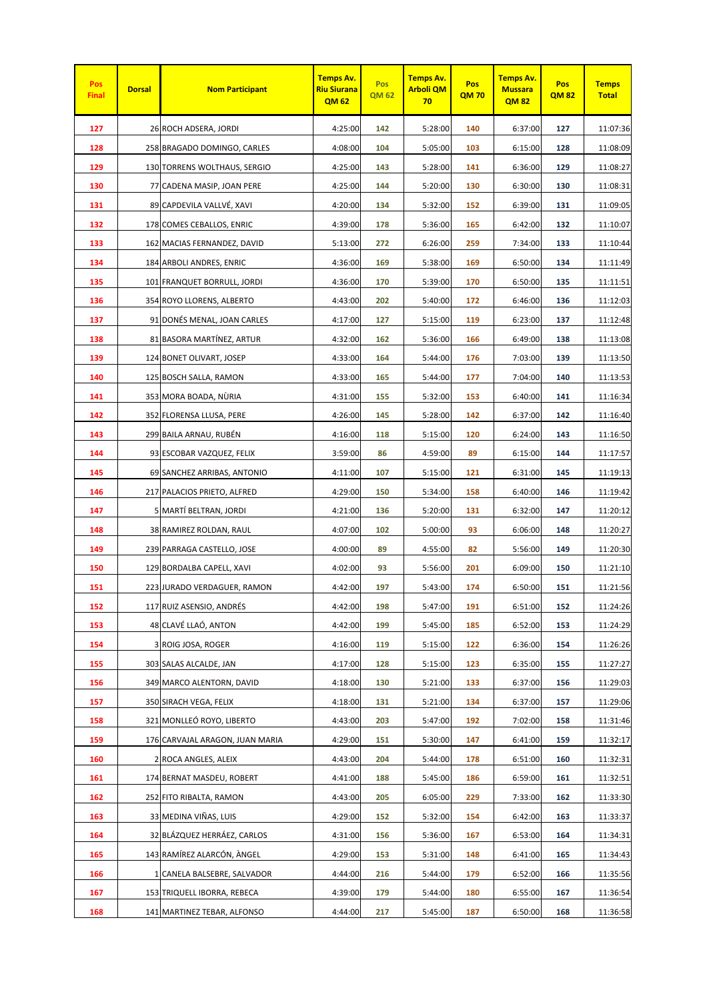| Pos<br><b>Final</b> | <b>Dorsal</b> | <b>Nom Participant</b>          | <b>Temps Av.</b><br><b>Riu Siurana</b><br><b>QM62</b> | Pos<br><b>QM 62</b> | <b>Temps Av.</b><br><b>Arboli QM</b><br>70 | Pos<br><b>QM70</b> | <b>Temps Av.</b><br><b>Mussara</b><br><b>QM82</b> | Pos<br><b>QM82</b> | <b>Temps</b><br><b>Total</b> |
|---------------------|---------------|---------------------------------|-------------------------------------------------------|---------------------|--------------------------------------------|--------------------|---------------------------------------------------|--------------------|------------------------------|
| 127                 |               | 26 ROCH ADSERA, JORDI           | 4:25:00                                               | 142                 | 5:28:00                                    | 140                | 6:37:00                                           | 127                | 11:07:36                     |
| 128                 |               | 258 BRAGADO DOMINGO, CARLES     | 4:08:00                                               | 104                 | 5:05:00                                    | 103                | 6:15:00                                           | 128                | 11:08:09                     |
| 129                 |               | 130 TORRENS WOLTHAUS, SERGIO    | 4:25:00                                               | 143                 | 5:28:00                                    | 141                | 6:36:00                                           | 129                | 11:08:27                     |
| 130                 |               | 77 CADENA MASIP, JOAN PERE      | 4:25:00                                               | 144                 | 5:20:00                                    | 130                | 6:30:00                                           | 130                | 11:08:31                     |
| 131                 |               | 89 CAPDEVILA VALLVÉ, XAVI       | 4:20:00                                               | 134                 | 5:32:00                                    | 152                | 6:39:00                                           | 131                | 11:09:05                     |
| 132                 |               | 178 COMES CEBALLOS, ENRIC       | 4:39:00                                               | 178                 | 5:36:00                                    | 165                | 6:42:00                                           | 132                | 11:10:07                     |
| 133                 |               | 162 MACIAS FERNANDEZ, DAVID     | 5:13:00                                               | 272                 | 6:26:00                                    | 259                | 7:34:00                                           | 133                | 11:10:44                     |
| 134                 |               | 184 ARBOLI ANDRES, ENRIC        | 4:36:00                                               | 169                 | 5:38:00                                    | 169                | 6:50:00                                           | 134                | 11:11:49                     |
| 135                 |               | 101 FRANQUET BORRULL, JORDI     | 4:36:00                                               | 170                 | 5:39:00                                    | 170                | 6:50:00                                           | 135                | 11:11:51                     |
| 136                 |               | 354 ROYO LLORENS, ALBERTO       | 4:43:00                                               | 202                 | 5:40:00                                    | 172                | 6:46:00                                           | 136                | 11:12:03                     |
| 137                 |               | 91 DONÉS MENAL, JOAN CARLES     | 4:17:00                                               | 127                 | 5:15:00                                    | 119                | 6:23:00                                           | 137                | 11:12:48                     |
| 138                 |               | 81 BASORA MARTÍNEZ, ARTUR       | 4:32:00                                               | 162                 | 5:36:00                                    | 166                | 6:49:00                                           | 138                | 11:13:08                     |
| 139                 |               | 124 BONET OLIVART, JOSEP        | 4:33:00                                               | 164                 | 5:44:00                                    | 176                | 7:03:00                                           | 139                | 11:13:50                     |
| 140                 |               | 125 BOSCH SALLA, RAMON          | 4:33:00                                               | 165                 | 5:44:00                                    | 177                | 7:04:00                                           | 140                | 11:13:53                     |
| 141                 |               | 353 MORA BOADA, NÙRIA           | 4:31:00                                               | 155                 | 5:32:00                                    | 153                | 6:40:00                                           | 141                | 11:16:34                     |
| 142                 |               | 352 FLORENSA LLUSA, PERE        | 4:26:00                                               | 145                 | 5:28:00                                    | 142                | 6:37:00                                           | 142                | 11:16:40                     |
| 143                 |               | 299 BAILA ARNAU, RUBÊN          | 4:16:00                                               | 118                 | 5:15:00                                    | 120                | 6:24:00                                           | 143                | 11:16:50                     |
| 144                 |               | 93 ESCOBAR VAZQUEZ, FELIX       | 3:59:00                                               | 86                  | 4:59:00                                    | 89                 | 6:15:00                                           | 144                | 11:17:57                     |
| 145                 |               | 69 SANCHEZ ARRIBAS, ANTONIO     | 4:11:00                                               | 107                 | 5:15:00                                    | 121                | 6:31:00                                           | 145                | 11:19:13                     |
| 146                 |               | 217 PALACIOS PRIETO, ALFRED     | 4:29:00                                               | 150                 | 5:34:00                                    | 158                | 6:40:00                                           | 146                | 11:19:42                     |
| 147                 |               | 5 MARTÍ BELTRAN, JORDI          | 4:21:00                                               | 136                 | 5:20:00                                    | 131                | 6:32:00                                           | 147                | 11:20:12                     |
| 148                 |               | 38 RAMIREZ ROLDAN, RAUL         | 4:07:00                                               | 102                 | 5:00:00                                    | 93                 | 6:06:00                                           | 148                | 11:20:27                     |
| 149                 |               | 239 PARRAGA CASTELLO, JOSE      | 4:00:00                                               | 89                  | 4:55:00                                    | 82                 | 5:56:00                                           | 149                | 11:20:30                     |
| 150                 |               | 129 BORDALBA CAPELL, XAVI       | 4:02:00                                               | 93                  | 5:56:00                                    | 201                | 6:09:00                                           | 150                | 11:21:10                     |
| 151                 |               | 223 JURADO VERDAGUER, RAMON     | 4:42:00                                               | 197                 | 5:43:00                                    | 174                | 6:50:00                                           | 151                | 11:21:56                     |
| 152                 |               | 117 RUIZ ASENSIO, ANDRÉS        | 4:42:00                                               | 198                 | 5:47:00                                    | 191                | 6:51:00                                           | 152                | 11:24:26                     |
| 153                 |               | 48 CLAVÉ LLAÓ, ANTON            | 4:42:00                                               | 199                 | 5:45:00                                    | 185                | 6:52:00                                           | 153                | 11:24:29                     |
| 154                 |               | 3 ROIG JOSA, ROGER              | 4:16:00                                               | 119                 | 5:15:00                                    | 122                | 6:36:00                                           | 154                | 11:26:26                     |
| 155                 |               | 303 SALAS ALCALDE, JAN          | 4:17:00                                               | 128                 | 5:15:00                                    | 123                | 6:35:00                                           | 155                | 11:27:27                     |
| 156                 |               | 349 MARCO ALENTORN, DAVID       | 4:18:00                                               | 130                 | 5:21:00                                    | 133                | 6:37:00                                           | 156                | 11:29:03                     |
| 157                 |               | 350 SIRACH VEGA, FELIX          | 4:18:00                                               | 131                 | 5:21:00                                    | 134                | 6:37:00                                           | 157                | 11:29:06                     |
| 158                 |               | 321 MONLLEÓ ROYO, LIBERTO       | 4:43:00                                               | 203                 | 5:47:00                                    | 192                | 7:02:00                                           | 158                | 11:31:46                     |
| 159                 |               | 176 CARVAJAL ARAGON, JUAN MARIA | 4:29:00                                               | 151                 | 5:30:00                                    | 147                | 6:41:00                                           | 159                | 11:32:17                     |
| 160                 |               | 2 ROCA ANGLES, ALEIX            | 4:43:00                                               | 204                 | 5:44:00                                    | 178                | 6:51:00                                           | 160                | 11:32:31                     |
| 161                 |               | 174 BERNAT MASDEU, ROBERT       | 4:41:00                                               | 188                 | 5:45:00                                    | 186                | 6:59:00                                           | 161                | 11:32:51                     |
| 162                 |               | 252 FITO RIBALTA, RAMON         | 4:43:00                                               | 205                 | 6:05:00                                    | 229                | 7:33:00                                           | 162                | 11:33:30                     |
| 163                 |               | 33 MEDINA VIÑAS, LUIS           | 4:29:00                                               | 152                 | 5:32:00                                    | 154                | 6:42:00                                           | 163                | 11:33:37                     |
| 164                 |               | 32 BLÁZQUEZ HERRÁEZ, CARLOS     | 4:31:00                                               | 156                 | 5:36:00                                    | 167                | 6:53:00                                           | 164                | 11:34:31                     |
| 165                 |               | 143 RAMÍREZ ALARCÓN, ÀNGEL      | 4:29:00                                               | 153                 | 5:31:00                                    | 148                | 6:41:00                                           | 165                | 11:34:43                     |
| 166                 |               | 1 CANELA BALSEBRE, SALVADOR     | 4:44:00                                               | 216                 | 5:44:00                                    | 179                | 6:52:00                                           | 166                | 11:35:56                     |
| 167                 |               | 153 TRIQUELL IBORRA, REBECA     | 4:39:00                                               | 179                 | 5:44:00                                    | 180                | 6:55:00                                           | 167                | 11:36:54                     |
| 168                 |               | 141 MARTINEZ TEBAR, ALFONSO     | 4:44:00                                               | 217                 | 5:45:00                                    | 187                | 6:50:00                                           | 168                | 11:36:58                     |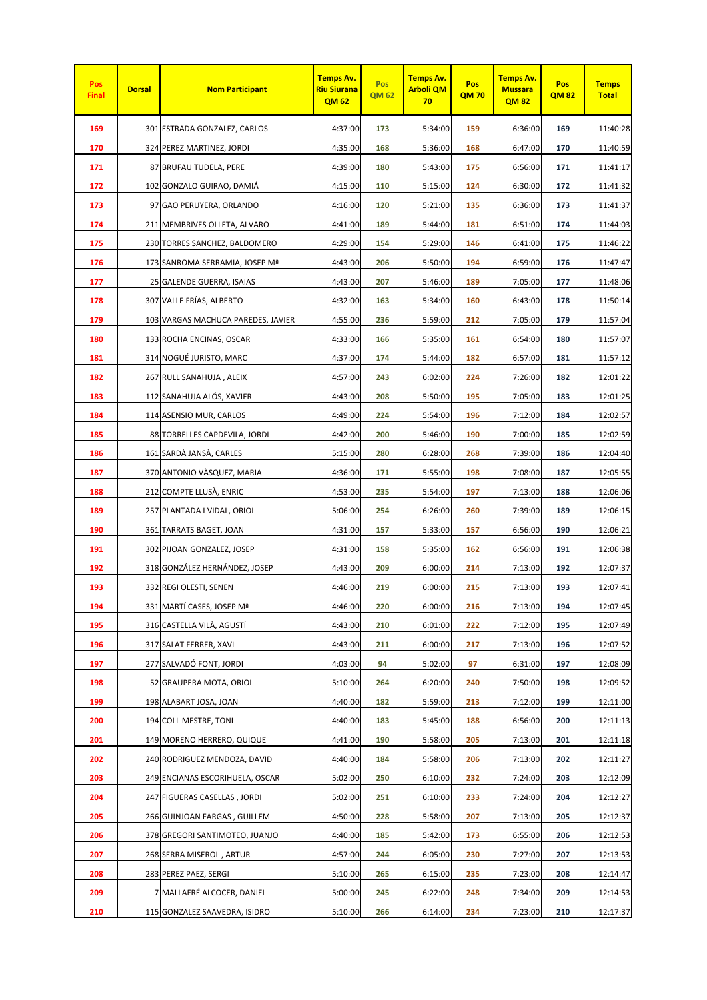| Pos<br><b>Final</b> | <b>Dorsal</b> | <b>Nom Participant</b>             | <b>Temps Av.</b><br><b>Riu Siurana</b><br><b>QM62</b> | Pos<br><b>QM 62</b> | Temps Av.<br><b>Arboli QM</b><br>70 | Pos<br><b>QM70</b> | Temps Av.<br><b>Mussara</b><br><b>QM82</b> | Pos<br><b>QM82</b> | <b>Temps</b><br><b>Total</b> |
|---------------------|---------------|------------------------------------|-------------------------------------------------------|---------------------|-------------------------------------|--------------------|--------------------------------------------|--------------------|------------------------------|
| 169                 |               | 301 ESTRADA GONZALEZ, CARLOS       | 4:37:00                                               | 173                 | 5:34:00                             | 159                | 6:36:00                                    | 169                | 11:40:28                     |
| 170                 |               | 324 PEREZ MARTINEZ, JORDI          | 4:35:00                                               | 168                 | 5:36:00                             | 168                | 6:47:00                                    | 170                | 11:40:59                     |
| 171                 |               | 87 BRUFAU TUDELA, PERE             | 4:39:00                                               | 180                 | 5:43:00                             | 175                | 6:56:00                                    | 171                | 11:41:17                     |
| 172                 |               | 102 GONZALO GUIRAO, DAMIA          | 4:15:00                                               | 110                 | 5:15:00                             | 124                | 6:30:00                                    | 172                | 11:41:32                     |
| 173                 |               | 97 GAO PERUYERA, ORLANDO           | 4:16:00                                               | 120                 | 5:21:00                             | 135                | 6:36:00                                    | 173                | 11:41:37                     |
| 174                 |               | 211 MEMBRIVES OLLETA, ALVARO       | 4:41:00                                               | 189                 | 5:44:00                             | 181                | 6:51:00                                    | 174                | 11:44:03                     |
| 175                 |               | 230 TORRES SANCHEZ, BALDOMERO      | 4:29:00                                               | 154                 | 5:29:00                             | 146                | 6:41:00                                    | 175                | 11:46:22                     |
| 176                 |               | 173 SANROMA SERRAMIA, JOSEP Mª     | 4:43:00                                               | 206                 | 5:50:00                             | 194                | 6:59:00                                    | 176                | 11:47:47                     |
| 177                 |               | 25 GALENDE GUERRA, ISAIAS          | 4:43:00                                               | 207                 | 5:46:00                             | 189                | 7:05:00                                    | 177                | 11:48:06                     |
| 178                 |               | 307 VALLE FRÍAS, ALBERTO           | 4:32:00                                               | 163                 | 5:34:00                             | 160                | 6:43:00                                    | 178                | 11:50:14                     |
| 179                 |               | 103 VARGAS MACHUCA PAREDES, JAVIER | 4:55:00                                               | 236                 | 5:59:00                             | 212                | 7:05:00                                    | 179                | 11:57:04                     |
| 180                 |               | 133 ROCHA ENCINAS, OSCAR           | 4:33:00                                               | 166                 | 5:35:00                             | 161                | 6:54:00                                    | 180                | 11:57:07                     |
| 181                 |               | 314 NOGUÉ JURISTO, MARC            | 4:37:00                                               | 174                 | 5:44:00                             | 182                | 6:57:00                                    | 181                | 11:57:12                     |
| 182                 |               | 267 RULL SANAHUJA, ALEIX           | 4:57:00                                               | 243                 | 6:02:00                             | 224                | 7:26:00                                    | 182                | 12:01:22                     |
| 183                 |               | 112 SANAHUJA ALÓS, XAVIER          | 4:43:00                                               | 208                 | 5:50:00                             | 195                | 7:05:00                                    | 183                | 12:01:25                     |
| 184                 |               | 114 ASENSIO MUR, CARLOS            | 4:49:00                                               | 224                 | 5:54:00                             | 196                | 7:12:00                                    | 184                | 12:02:57                     |
| 185                 |               | 88 TORRELLES CAPDEVILA, JORDI      | 4:42:00                                               | 200                 | 5:46:00                             | 190                | 7:00:00                                    | 185                | 12:02:59                     |
| 186                 |               | 161 SARDÀ JANSÀ, CARLES            | 5:15:00                                               | 280                 | 6:28:00                             | 268                | 7:39:00                                    | 186                | 12:04:40                     |
| 187                 |               | 370 ANTONIO VÀSQUEZ, MARIA         | 4:36:00                                               | 171                 | 5:55:00                             | 198                | 7:08:00                                    | 187                | 12:05:55                     |
| 188                 |               | 212 COMPTE LLUSA, ENRIC            | 4:53:00                                               | 235                 | 5:54:00                             | 197                | 7:13:00                                    | 188                | 12:06:06                     |
| 189                 |               | 257 PLANTADA I VIDAL, ORIOL        | 5:06:00                                               | 254                 | 6:26:00                             | 260                | 7:39:00                                    | 189                | 12:06:15                     |
| 190                 |               | 361 TARRATS BAGET, JOAN            | 4:31:00                                               | 157                 | 5:33:00                             | 157                | 6:56:00                                    | 190                | 12:06:21                     |
| 191                 |               | 302 PIJOAN GONZALEZ, JOSEP         | 4:31:00                                               | 158                 | 5:35:00                             | 162                | 6:56:00                                    | 191                | 12:06:38                     |
| 192                 |               | 318 GONZÁLEZ HERNÁNDEZ, JOSEP      | 4:43:00                                               | 209                 | 6:00:00                             | 214                | 7:13:00                                    | 192                | 12:07:37                     |
| 193                 |               | 332 REGI OLESTI, SENEN             | 4:46:00                                               | 219                 | 6:00:00                             | 215                | 7:13:00                                    | 193                | 12:07:41                     |
| 194                 |               | 331 MARTÍ CASES, JOSEP Mª          | 4:46:00                                               | 220                 | 6:00:00                             | 216                | 7:13:00                                    | 194                | 12:07:45                     |
| 195                 |               | 316 CASTELLA VILÀ, AGUSTÍ          | 4:43:00                                               | 210                 | 6:01:00                             | 222                | 7:12:00                                    | 195                | 12:07:49                     |
| 196                 |               | 317 SALAT FERRER, XAVI             | 4:43:00                                               | 211                 | 6:00:00                             | 217                | 7:13:00                                    | 196                | 12:07:52                     |
| 197                 |               | 277 SALVADÓ FONT, JORDI            | 4:03:00                                               | 94                  | 5:02:00                             | 97                 | 6:31:00                                    | 197                | 12:08:09                     |
| 198                 |               | 52 GRAUPERA MOTA, ORIOL            | 5:10:00                                               | 264                 | 6:20:00                             | 240                | 7:50:00                                    | 198                | 12:09:52                     |
| 199                 |               | 198 ALABART JOSA, JOAN             | 4:40:00                                               | 182                 | 5:59:00                             | 213                | 7:12:00                                    | 199                | 12:11:00                     |
| 200                 |               | 194 COLL MESTRE, TONI              | 4:40:00                                               | 183                 | 5:45:00                             | 188                | 6:56:00                                    | 200                | 12:11:13                     |
| 201                 |               | 149 MORENO HERRERO, QUIQUE         | 4:41:00                                               | 190                 | 5:58:00                             | 205                | 7:13:00                                    | 201                | 12:11:18                     |
| 202                 |               | 240 RODRIGUEZ MENDOZA, DAVID       | 4:40:00                                               | 184                 | 5:58:00                             | 206                | 7:13:00                                    | 202                | 12:11:27                     |
| 203                 |               | 249 ENCIANAS ESCORIHUELA, OSCAR    | 5:02:00                                               | 250                 | 6:10:00                             | 232                | 7:24:00                                    | 203                | 12:12:09                     |
| 204                 |               | 247 FIGUERAS CASELLAS, JORDI       | 5:02:00                                               | 251                 | 6:10:00                             | 233                | 7:24:00                                    | 204                | 12:12:27                     |
| 205                 |               | 266 GUINJOAN FARGAS, GUILLEM       | 4:50:00                                               | 228                 | 5:58:00                             | 207                | 7:13:00                                    | 205                | 12:12:37                     |
| 206                 |               | 378 GREGORI SANTIMOTEO, JUANJO     | 4:40:00                                               | 185                 | 5:42:00                             | 173                | 6:55:00                                    | 206                | 12:12:53                     |
| 207                 |               | 268 SERRA MISEROL, ARTUR           | 4:57:00                                               | 244                 | 6:05:00                             | 230                | 7:27:00                                    | 207                | 12:13:53                     |
| 208                 |               | 283 PEREZ PAEZ, SERGI              | 5:10:00                                               | 265                 | 6:15:00                             | 235                | 7:23:00                                    | 208                | 12:14:47                     |
| 209                 |               | 7 MALLAFRÉ ALCOCER, DANIEL         | 5:00:00                                               | 245                 | 6:22:00                             | 248                | 7:34:00                                    | 209                | 12:14:53                     |
| 210                 |               | 115 GONZALEZ SAAVEDRA, ISIDRO      | 5:10:00                                               | 266                 | 6:14:00                             | 234                | 7:23:00                                    | 210                | 12:17:37                     |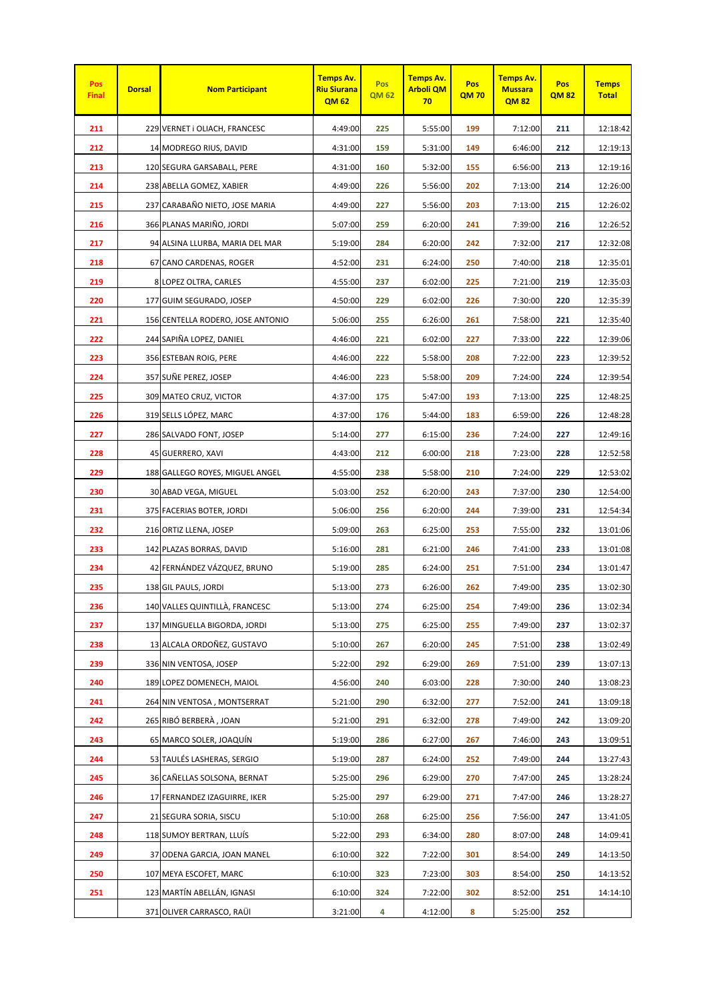| Pos<br><b>Final</b> | <b>Dorsal</b> | <b>Nom Participant</b>            | <b>Temps Av.</b><br><b>Riu Siurana</b><br><b>QM62</b> | Pos<br><b>QM 62</b> | <b>Temps Av.</b><br><b>Arboli QM</b><br>70 | Pos<br><b>QM70</b> | <b>Temps Av.</b><br><b>Mussara</b><br><b>QM82</b> | Pos<br><b>QM82</b> | <b>Temps</b><br><b>Total</b> |
|---------------------|---------------|-----------------------------------|-------------------------------------------------------|---------------------|--------------------------------------------|--------------------|---------------------------------------------------|--------------------|------------------------------|
| 211                 |               | 229 VERNET i OLIACH, FRANCESC     | 4:49:00                                               | 225                 | 5:55:00                                    | 199                | 7:12:00                                           | 211                | 12:18:42                     |
| 212                 |               | 14 MODREGO RIUS, DAVID            | 4:31:00                                               | 159                 | 5:31:00                                    | 149                | 6:46:00                                           | 212                | 12:19:13                     |
| 213                 |               | 120 SEGURA GARSABALL, PERE        | 4:31:00                                               | 160                 | 5:32:00                                    | 155                | 6:56:00                                           | 213                | 12:19:16                     |
| 214                 |               | 238 ABELLA GOMEZ, XABIER          | 4:49:00                                               | 226                 | 5:56:00                                    | 202                | 7:13:00                                           | 214                | 12:26:00                     |
| 215                 |               | 237 CARABAÑO NIETO, JOSE MARIA    | 4:49:00                                               | 227                 | 5:56:00                                    | 203                | 7:13:00                                           | 215                | 12:26:02                     |
| 216                 |               | 366 PLANAS MARIÑO, JORDI          | 5:07:00                                               | 259                 | 6:20:00                                    | 241                | 7:39:00                                           | 216                | 12:26:52                     |
| 217                 |               | 94 ALSINA LLURBA, MARIA DEL MAR   | 5:19:00                                               | 284                 | 6:20:00                                    | 242                | 7:32:00                                           | 217                | 12:32:08                     |
| 218                 |               | 67 CANO CARDENAS, ROGER           | 4:52:00                                               | 231                 | 6:24:00                                    | 250                | 7:40:00                                           | 218                | 12:35:01                     |
| 219                 |               | 8 LOPEZ OLTRA, CARLES             | 4:55:00                                               | 237                 | 6:02:00                                    | 225                | 7:21:00                                           | 219                | 12:35:03                     |
| 220                 |               | 177 GUIM SEGURADO, JOSEP          | 4:50:00                                               | 229                 | 6:02:00                                    | 226                | 7:30:00                                           | 220                | 12:35:39                     |
| 221                 |               | 156 CENTELLA RODERO, JOSE ANTONIO | 5:06:00                                               | 255                 | 6:26:00                                    | 261                | 7:58:00                                           | 221                | 12:35:40                     |
| 222                 |               | 244 SAPIÑA LOPEZ, DANIEL          | 4:46:00                                               | 221                 | 6:02:00                                    | 227                | 7:33:00                                           | 222                | 12:39:06                     |
| 223                 |               | 356 ESTEBAN ROIG, PERE            | 4:46:00                                               | 222                 | 5:58:00                                    | 208                | 7:22:00                                           | 223                | 12:39:52                     |
| 224                 |               | 357 SUÑE PEREZ, JOSEP             | 4:46:00                                               | 223                 | 5:58:00                                    | 209                | 7:24:00                                           | 224                | 12:39:54                     |
| 225                 |               | 309 MATEO CRUZ, VICTOR            | 4:37:00                                               | 175                 | 5:47:00                                    | 193                | 7:13:00                                           | 225                | 12:48:25                     |
| 226                 |               | 319 SELLS LÓPEZ, MARC             | 4:37:00                                               | 176                 | 5:44:00                                    | 183                | 6:59:00                                           | 226                | 12:48:28                     |
| 227                 |               | 286 SALVADO FONT, JOSEP           | 5:14:00                                               | 277                 | 6:15:00                                    | 236                | 7:24:00                                           | 227                | 12:49:16                     |
| 228                 |               | 45 GUERRERO, XAVI                 | 4:43:00                                               | 212                 | 6:00:00                                    | 218                | 7:23:00                                           | 228                | 12:52:58                     |
| 229                 |               | 188 GALLEGO ROYES, MIGUEL ANGEL   | 4:55:00                                               | 238                 | 5:58:00                                    | 210                | 7:24:00                                           | 229                | 12:53:02                     |
| 230                 |               | 30 ABAD VEGA, MIGUEL              | 5:03:00                                               | 252                 | 6:20:00                                    | 243                | 7:37:00                                           | 230                | 12:54:00                     |
| 231                 |               | 375 FACERIAS BOTER, JORDI         | 5:06:00                                               | 256                 | 6:20:00                                    | 244                | 7:39:00                                           | 231                | 12:54:34                     |
| 232                 |               | 216 ORTIZ LLENA, JOSEP            | 5:09:00                                               | 263                 | 6:25:00                                    | 253                | 7:55:00                                           | 232                | 13:01:06                     |
| 233                 |               | 142 PLAZAS BORRAS, DAVID          | 5:16:00                                               | 281                 | 6:21:00                                    | 246                | 7:41:00                                           | 233                | 13:01:08                     |
| 234                 |               | 42 FERNÁNDEZ VÁZQUEZ, BRUNO       | 5:19:00                                               | 285                 | 6:24:00                                    | 251                | 7:51:00                                           | 234                | 13:01:47                     |
| 235                 |               | 138 GIL PAULS, JORDI              | 5:13:00                                               | 273                 | 6:26:00                                    | 262                | 7:49:00                                           | 235                | 13:02:30                     |
| 236                 |               | 140 VALLES QUINTILLÀ, FRANCESC    | 5:13:00                                               | 274                 | 6:25:00                                    | 254                | 7:49:00                                           | 236                | 13:02:34                     |
| 237                 |               | 137 MINGUELLA BIGORDA, JORDI      | 5:13:00                                               | 275                 | 6:25:00                                    | 255                | 7:49:00                                           | 237                | 13:02:37                     |
| 238                 |               | 13 ALCALA ORDOÑEZ, GUSTAVO        | 5:10:00                                               | 267                 | 6:20:00                                    | 245                | 7:51:00                                           | 238                | 13:02:49                     |
| 239                 |               | 336 NIN VENTOSA, JOSEP            | 5:22:00                                               | 292                 | 6:29:00                                    | 269                | 7:51:00                                           | 239                | 13:07:13                     |
| 240                 |               | 189 LOPEZ DOMENECH, MAIOL         | 4:56:00                                               | 240                 | 6:03:00                                    | 228                | 7:30:00                                           | 240                | 13:08:23                     |
| 241                 |               | 264 NIN VENTOSA, MONTSERRAT       | 5:21:00                                               | 290                 | 6:32:00                                    | 277                | 7:52:00                                           | 241                | 13:09:18                     |
| 242                 |               | 265 RIBÓ BERBERÀ, JOAN            | 5:21:00                                               | 291                 | 6:32:00                                    | 278                | 7:49:00                                           | 242                | 13:09:20                     |
| 243                 |               | 65 MARCO SOLER, JOAQUÍN           | 5:19:00                                               | 286                 | 6:27:00                                    | 267                | 7:46:00                                           | 243                | 13:09:51                     |
| 244                 |               | 53 TAULÉS LASHERAS, SERGIO        | 5:19:00                                               | 287                 | 6:24:00                                    | 252                | 7:49:00                                           | 244                | 13:27:43                     |
| 245                 |               | 36 CAÑELLAS SOLSONA, BERNAT       | 5:25:00                                               | 296                 | 6:29:00                                    | 270                | 7:47:00                                           | 245                | 13:28:24                     |
| 246                 |               | 17 FERNANDEZ IZAGUIRRE, IKER      | 5:25:00                                               | 297                 | 6:29:00                                    | 271                | 7:47:00                                           | 246                | 13:28:27                     |
| 247                 |               | 21 SEGURA SORIA, SISCU            | 5:10:00                                               | 268                 | 6:25:00                                    | 256                | 7:56:00                                           | 247                | 13:41:05                     |
| 248                 |               | 118 SUMOY BERTRAN, LLUÍS          | 5:22:00                                               | 293                 | 6:34:00                                    | 280                | 8:07:00                                           | 248                | 14:09:41                     |
| 249                 |               | 37 ODENA GARCIA, JOAN MANEL       | 6:10:00                                               | 322                 | 7:22:00                                    | 301                | 8:54:00                                           | 249                | 14:13:50                     |
| 250                 |               | 107 MEYA ESCOFET, MARC            | 6:10:00                                               | 323                 | 7:23:00                                    | 303                | 8:54:00                                           | 250                | 14:13:52                     |
| 251                 |               | 123 MARTÍN ABELLÁN, IGNASI        | 6:10:00                                               | 324                 | 7:22:00                                    | 302                | 8:52:00                                           | 251                | 14:14:10                     |
|                     |               | 371 OLIVER CARRASCO, RAÜI         | 3:21:00                                               | 4                   | 4:12:00                                    | 8                  | 5:25:00                                           | 252                |                              |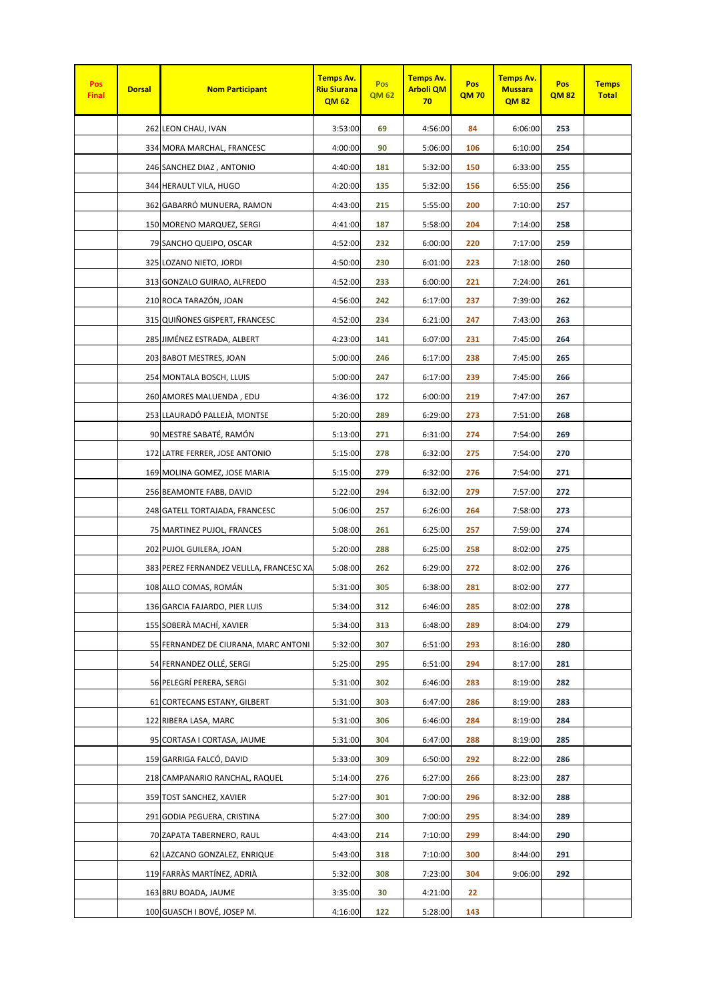| Pos<br><b>Final</b> | <b>Dorsal</b> | <b>Nom Participant</b>                   | <b>Temps Av.</b><br><b>Riu Siurana</b><br>QM 62 | Pos<br><b>QM 62</b> | <b>Temps Av.</b><br><b>Arboli QM</b><br>70 | Pos<br><b>QM70</b> | <b>Temps Av.</b><br><b>Mussara</b><br><b>QM82</b> | Pos<br><b>QM82</b> | <b>Temps</b><br><b>Total</b> |
|---------------------|---------------|------------------------------------------|-------------------------------------------------|---------------------|--------------------------------------------|--------------------|---------------------------------------------------|--------------------|------------------------------|
|                     |               | 262 LEON CHAU, IVAN                      | 3:53:00                                         | 69                  | 4:56:00                                    | 84                 | 6:06:00                                           | 253                |                              |
|                     |               | 334 MORA MARCHAL, FRANCESC               | 4:00:00                                         | 90                  | 5:06:00                                    | 106                | 6:10:00                                           | 254                |                              |
|                     |               | 246 SANCHEZ DIAZ, ANTONIO                | 4:40:00                                         | 181                 | 5:32:00                                    | 150                | 6:33:00                                           | 255                |                              |
|                     |               | 344 HERAULT VILA, HUGO                   | 4:20:00                                         | 135                 | 5:32:00                                    | 156                | 6:55:00                                           | 256                |                              |
|                     |               | 362 GABARRÓ MUNUERA, RAMON               | 4:43:00                                         | 215                 | 5:55:00                                    | 200                | 7:10:00                                           | 257                |                              |
|                     |               | 150 MORENO MARQUEZ, SERGI                | 4:41:00                                         | 187                 | 5:58:00                                    | 204                | 7:14:00                                           | 258                |                              |
|                     |               | 79 SANCHO QUEIPO, OSCAR                  | 4:52:00                                         | 232                 | 6:00:00                                    | 220                | 7:17:00                                           | 259                |                              |
|                     |               | 325 LOZANO NIETO, JORDI                  | 4:50:00                                         | 230                 | 6:01:00                                    | 223                | 7:18:00                                           | 260                |                              |
|                     |               | 313 GONZALO GUIRAO, ALFREDO              | 4:52:00                                         | 233                 | 6:00:00                                    | 221                | 7:24:00                                           | 261                |                              |
|                     |               | 210 ROCA TARAZÓN, JOAN                   | 4:56:00                                         | 242                 | 6:17:00                                    | 237                | 7:39:00                                           | 262                |                              |
|                     |               | 315 QUIÑONES GISPERT, FRANCESC           | 4:52:00                                         | 234                 | 6:21:00                                    | 247                | 7:43:00                                           | 263                |                              |
|                     |               | 285 JIMÉNEZ ESTRADA, ALBERT              | 4:23:00                                         | 141                 | 6:07:00                                    | 231                | 7:45:00                                           | 264                |                              |
|                     |               | 203 BABOT MESTRES, JOAN                  | 5:00:00                                         | 246                 | 6:17:00                                    | 238                | 7:45:00                                           | 265                |                              |
|                     |               | 254 MONTALA BOSCH, LLUIS                 | 5:00:00                                         | 247                 | 6:17:00                                    | 239                | 7:45:00                                           | 266                |                              |
|                     |               | 260 AMORES MALUENDA, EDU                 | 4:36:00                                         | 172                 | 6:00:00                                    | 219                | 7:47:00                                           | 267                |                              |
|                     |               | 253 LLAURADÓ PALLEJÀ, MONTSE             | 5:20:00                                         | 289                 | 6:29:00                                    | 273                | 7:51:00                                           | 268                |                              |
|                     |               | 90 MESTRE SABATÉ, RAMÓN                  | 5:13:00                                         | 271                 | 6:31:00                                    | 274                | 7:54:00                                           | 269                |                              |
|                     |               | 172 LATRE FERRER, JOSE ANTONIO           | 5:15:00                                         | 278                 | 6:32:00                                    | 275                | 7:54:00                                           | 270                |                              |
|                     |               | 169 MOLINA GOMEZ, JOSE MARIA             | 5:15:00                                         | 279                 | 6:32:00                                    | 276                | 7:54:00                                           | 271                |                              |
|                     |               | 256 BEAMONTE FABB, DAVID                 | 5:22:00                                         | 294                 | 6:32:00                                    | 279                | 7:57:00                                           | 272                |                              |
|                     |               | 248 GATELL TORTAJADA, FRANCESC           | 5:06:00                                         | 257                 | 6:26:00                                    | 264                | 7:58:00                                           | 273                |                              |
|                     |               | 75 MARTINEZ PUJOL, FRANCES               | 5:08:00                                         | 261                 | 6:25:00                                    | 257                | 7:59:00                                           | 274                |                              |
|                     |               | 202 PUJOL GUILERA, JOAN                  | 5:20:00                                         | 288                 | 6:25:00                                    | 258                | 8:02:00                                           | 275                |                              |
|                     |               | 383 PEREZ FERNANDEZ VELILLA, FRANCESC XA | 5:08:00                                         | 262                 | 6:29:00                                    | 272                | 8:02:00                                           | 276                |                              |
|                     |               | 108 ALLO COMAS, ROMÁN                    | 5:31:00                                         | 305                 | 6:38:00                                    | 281                | 8:02:00                                           | 277                |                              |
|                     |               | 136 GARCIA FAJARDO, PIER LUIS            | 5:34:00                                         | 312                 | 6:46:00                                    | 285                | 8:02:00                                           | 278                |                              |
|                     |               | 155 SOBERÀ MACHÍ, XAVIER                 | 5:34:00                                         | 313                 | 6:48:00                                    | 289                | 8:04:00                                           | 279                |                              |
|                     |               | 55 FERNANDEZ DE CIURANA, MARC ANTONI     | 5:32:00                                         | 307                 | 6:51:00                                    | 293                | 8:16:00                                           | 280                |                              |
|                     |               | 54 FERNANDEZ OLLÉ, SERGI                 | 5:25:00                                         | 295                 | 6:51:00                                    | 294                | 8:17:00                                           | 281                |                              |
|                     |               | 56 PELEGRÍ PERERA, SERGI                 | 5:31:00                                         | 302                 | 6:46:00                                    | 283                | 8:19:00                                           | 282                |                              |
|                     |               | 61 CORTECANS ESTANY, GILBERT             | 5:31:00                                         | 303                 | 6:47:00                                    | 286                | 8:19:00                                           | 283                |                              |
|                     |               | 122 RIBERA LASA, MARC                    | 5:31:00                                         | 306                 | 6:46:00                                    | 284                | 8:19:00                                           | 284                |                              |
|                     |               | 95 CORTASA I CORTASA, JAUME              | 5:31:00                                         | 304                 | 6:47:00                                    | 288                | 8:19:00                                           | 285                |                              |
|                     |               | 159 GARRIGA FALCÓ, DAVID                 | 5:33:00                                         | 309                 | 6:50:00                                    | 292                | 8:22:00                                           | 286                |                              |
|                     |               | 218 CAMPANARIO RANCHAL, RAQUEL           | 5:14:00                                         | 276                 | 6:27:00                                    | 266                | 8:23:00                                           | 287                |                              |
|                     |               | 359 TOST SANCHEZ, XAVIER                 | 5:27:00                                         | 301                 | 7:00:00                                    | 296                | 8:32:00                                           | 288                |                              |
|                     |               | 291 GODIA PEGUERA, CRISTINA              | 5:27:00                                         | 300                 | 7:00:00                                    | 295                | 8:34:00                                           | 289                |                              |
|                     |               | 70 ZAPATA TABERNERO, RAUL                | 4:43:00                                         | 214                 | 7:10:00                                    | 299                | 8:44:00                                           | 290                |                              |
|                     |               | 62 LAZCANO GONZALEZ, ENRIQUE             | 5:43:00                                         | 318                 | 7:10:00                                    | 300                | 8:44:00                                           | 291                |                              |
|                     |               | 119 FARRÀS MARTÍNEZ, ADRIÀ               | 5:32:00                                         | 308                 | 7:23:00                                    | 304                | 9:06:00                                           | 292                |                              |
|                     |               | 163 BRU BOADA, JAUME                     | 3:35:00                                         | 30                  | 4:21:00                                    | 22                 |                                                   |                    |                              |
|                     |               | 100 GUASCH I BOVÉ, JOSEP M.              | 4:16:00                                         | 122                 | 5:28:00                                    | 143                |                                                   |                    |                              |